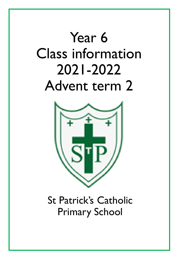# Year 6 Class information 2021-2022 Advent term 2



St Patrick's Catholic Primary School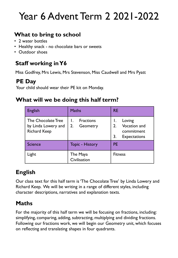# Year 6 Advent Term 2 2021-2022

### **What to bring to school**

- 2 water bottles
- Healthy snack no chocolate bars or sweets
- Outdoor shoes

### **Staff working in Y6**

Miss Godfrey, Mrs Lewis, Mrs Stevenson, Miss Caudwell and Mrs Pyatt

#### **PE Day**

Your child should wear their PE kit on Monday.

#### **What will we be doing this half term?**

| <b>English</b>                                                   | <b>Maths</b>                       | <b>RE</b>                                                                      |  |  |  |  |
|------------------------------------------------------------------|------------------------------------|--------------------------------------------------------------------------------|--|--|--|--|
| The Chocolate Tree<br>by Linda Lowery and<br><b>Richard Keep</b> | <b>Fractions</b><br>2.<br>Geometry | Loving<br><b>Vocation and</b><br>2.<br>commitment<br>3.<br><b>Expectations</b> |  |  |  |  |
| <b>Science</b>                                                   | <b>Topic - History</b>             | <b>PE</b>                                                                      |  |  |  |  |
| Light                                                            | The Maya<br>Civilisation           | <b>Fitness</b>                                                                 |  |  |  |  |

# **English**

Our class text for this half term is 'The Chocolate Tree' by Linda Lowery and Richard Keep. We will be writing in a range of different styles, including character descriptions, narratives and explanation texts.

### **Maths**

For the majority of this half term we will be focusing on fractions, including: simplifying, comparing, adding, subtracting, multiplying and dividing fractions. Following our fractions work, we will begin our Geometry unit, which focuses on reflecting and translating shapes in four quadrants.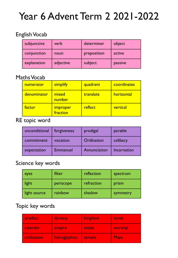# Year 6 Advent Term 2 2021-2022

#### English Vocab

| subjunctive | verb      | determiner  | object  |
|-------------|-----------|-------------|---------|
| conjunction | noun      | preposition | active  |
| explanation | adjective | subject     | passive |

#### Maths Vocab

| numerator   | simplify                    | quadrant  | coordinates |  |  |  |  |
|-------------|-----------------------------|-----------|-------------|--|--|--|--|
| denominator | mixed<br>number             | translate | horizontal  |  |  |  |  |
| factor      | <b>improper</b><br>fraction | reflect   | vertical    |  |  |  |  |

#### RE topic word

| unconditional | forgiveness | prodigal     | parable     |
|---------------|-------------|--------------|-------------|
| commitment    | vocation    | Ordination   | celibacy    |
| expectation   | Emmanuel    | Annunciation | Incarnation |

#### Science key words

| eyes         | filter    | reflection | spectrum |  |  |  |
|--------------|-----------|------------|----------|--|--|--|
| light        | periscope | refraction | prism    |  |  |  |
| light source | rainbow   | shadow     | symmetry |  |  |  |

#### Topic key words

| artefact     | dynasty       | kingdom | tomb           |
|--------------|---------------|---------|----------------|
| calendar     | empire        | maize   | <b>worship</b> |
| civilisation | hieroglyphics | temple  | <b>Maya</b>    |